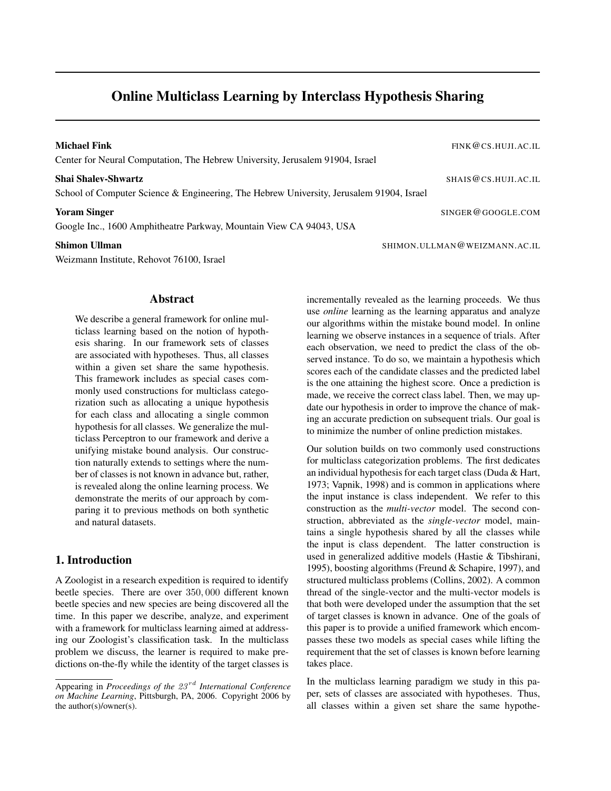## Online Multiclass Learning by Interclass Hypothesis Sharing

| <b>Michael Fink</b>                                                                      | FINK @ CS.HUJI.AC.IL         |
|------------------------------------------------------------------------------------------|------------------------------|
| Center for Neural Computation, The Hebrew University, Jerusalem 91904, Israel            |                              |
| <b>Shai Shalev-Shwartz</b>                                                               | SHAIS @ CS.HUJI.AC.IL        |
| School of Computer Science & Engineering, The Hebrew University, Jerusalem 91904, Israel |                              |
| <b>Yoram Singer</b>                                                                      | SINGER@GOOGLE.COM            |
| Google Inc., 1600 Amphitheatre Parkway, Mountain View CA 94043, USA                      |                              |
| Shimon Ullman                                                                            | SHIMON.ULLMAN@WEIZMANN.AC.IL |

# Weizmann Institute, Rehovot 76100, Israel

We describe a general framework for online multiclass learning based on the notion of hypothesis sharing. In our framework sets of classes are associated with hypotheses. Thus, all classes within a given set share the same hypothesis. This framework includes as special cases commonly used constructions for multiclass categorization such as allocating a unique hypothesis for each class and allocating a single common hypothesis for all classes. We generalize the multiclass Perceptron to our framework and derive a unifying mistake bound analysis. Our construction naturally extends to settings where the number of classes is not known in advance but, rather, is revealed along the online learning process. We demonstrate the merits of our approach by comparing it to previous methods on both synthetic and natural datasets.

Abstract

## 1. Introduction

A Zoologist in a research expedition is required to identify beetle species. There are over 350, 000 different known beetle species and new species are being discovered all the time. In this paper we describe, analyze, and experiment with a framework for multiclass learning aimed at addressing our Zoologist's classification task. In the multiclass problem we discuss, the learner is required to make predictions on-the-fly while the identity of the target classes is incrementally revealed as the learning proceeds. We thus use *online* learning as the learning apparatus and analyze our algorithms within the mistake bound model. In online learning we observe instances in a sequence of trials. After each observation, we need to predict the class of the observed instance. To do so, we maintain a hypothesis which scores each of the candidate classes and the predicted label is the one attaining the highest score. Once a prediction is made, we receive the correct class label. Then, we may update our hypothesis in order to improve the chance of making an accurate prediction on subsequent trials. Our goal is to minimize the number of online prediction mistakes.

Our solution builds on two commonly used constructions for multiclass categorization problems. The first dedicates an individual hypothesis for each target class (Duda & Hart, 1973; Vapnik, 1998) and is common in applications where the input instance is class independent. We refer to this construction as the *multi-vector* model. The second construction, abbreviated as the *single-vector* model, maintains a single hypothesis shared by all the classes while the input is class dependent. The latter construction is used in generalized additive models (Hastie & Tibshirani, 1995), boosting algorithms (Freund & Schapire, 1997), and structured multiclass problems (Collins, 2002). A common thread of the single-vector and the multi-vector models is that both were developed under the assumption that the set of target classes is known in advance. One of the goals of this paper is to provide a unified framework which encompasses these two models as special cases while lifting the requirement that the set of classes is known before learning takes place.

In the multiclass learning paradigm we study in this paper, sets of classes are associated with hypotheses. Thus, all classes within a given set share the same hypothe-

Appearing in *Proceedings of the 23<sup>rd</sup> International Conference on Machine Learning*, Pittsburgh, PA, 2006. Copyright 2006 by the author(s)/owner(s).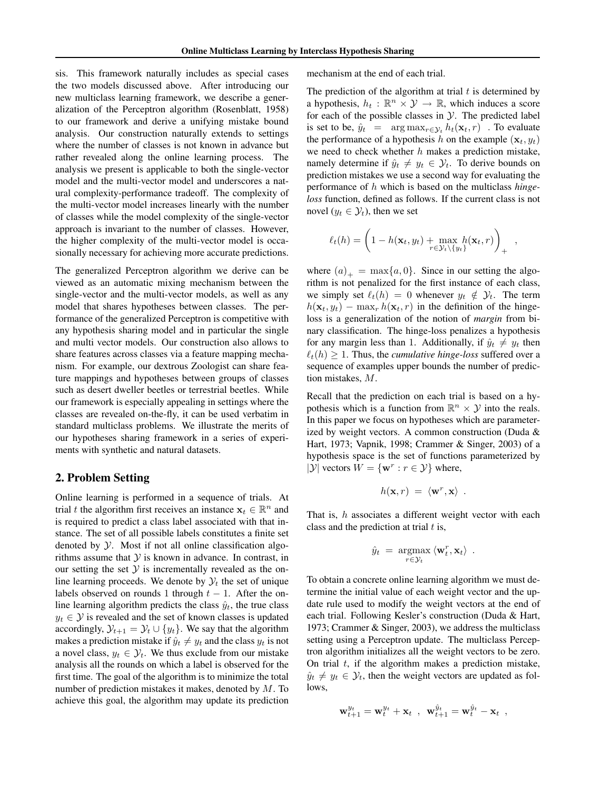sis. This framework naturally includes as special cases the two models discussed above. After introducing our new multiclass learning framework, we describe a generalization of the Perceptron algorithm (Rosenblatt, 1958) to our framework and derive a unifying mistake bound analysis. Our construction naturally extends to settings where the number of classes is not known in advance but rather revealed along the online learning process. The analysis we present is applicable to both the single-vector model and the multi-vector model and underscores a natural complexity-performance tradeoff. The complexity of the multi-vector model increases linearly with the number of classes while the model complexity of the single-vector approach is invariant to the number of classes. However, the higher complexity of the multi-vector model is occasionally necessary for achieving more accurate predictions.

The generalized Perceptron algorithm we derive can be viewed as an automatic mixing mechanism between the single-vector and the multi-vector models, as well as any model that shares hypotheses between classes. The performance of the generalized Perceptron is competitive with any hypothesis sharing model and in particular the single and multi vector models. Our construction also allows to share features across classes via a feature mapping mechanism. For example, our dextrous Zoologist can share feature mappings and hypotheses between groups of classes such as desert dweller beetles or terrestrial beetles. While our framework is especially appealing in settings where the classes are revealed on-the-fly, it can be used verbatim in standard multiclass problems. We illustrate the merits of our hypotheses sharing framework in a series of experiments with synthetic and natural datasets.

### 2. Problem Setting

Online learning is performed in a sequence of trials. At trial t the algorithm first receives an instance  $\mathbf{x}_t \in \mathbb{R}^n$  and is required to predict a class label associated with that instance. The set of all possible labels constitutes a finite set denoted by Y. Most if not all online classification algorithms assume that  $Y$  is known in advance. In contrast, in our setting the set  $Y$  is incrementally revealed as the online learning proceeds. We denote by  $\mathcal{Y}_t$  the set of unique labels observed on rounds 1 through  $t - 1$ . After the online learning algorithm predicts the class  $\hat{y}_t$ , the true class  $y_t \in \mathcal{Y}$  is revealed and the set of known classes is updated accordingly,  $\mathcal{Y}_{t+1} = \mathcal{Y}_t \cup \{y_t\}$ . We say that the algorithm makes a prediction mistake if  $\hat{y}_t \neq y_t$  and the class  $y_t$  is not a novel class,  $y_t \in \mathcal{Y}_t$ . We thus exclude from our mistake analysis all the rounds on which a label is observed for the first time. The goal of the algorithm is to minimize the total number of prediction mistakes it makes, denoted by M. To achieve this goal, the algorithm may update its prediction mechanism at the end of each trial.

The prediction of the algorithm at trial  $t$  is determined by a hypothesis,  $h_t : \mathbb{R}^n \times \mathcal{Y} \to \mathbb{R}$ , which induces a score for each of the possible classes in  $Y$ . The predicted label is set to be,  $\hat{y}_t = \arg \max_{r \in \mathcal{Y}_t} h_t(\mathbf{x}_t, r)$ . To evaluate the performance of a hypothesis h on the example  $(\mathbf{x}_t, y_t)$ we need to check whether  $h$  makes a prediction mistake, namely determine if  $\hat{y}_t \neq y_t \in \mathcal{Y}_t$ . To derive bounds on prediction mistakes we use a second way for evaluating the performance of h which is based on the multiclass *hingeloss* function, defined as follows. If the current class is not novel  $(y_t \in \mathcal{Y}_t)$ , then we set

$$
\ell_t(h) = \left(1 - h(\mathbf{x}_t, y_t) + \max_{r \in \mathcal{Y}_t \setminus \{y_t\}} h(\mathbf{x}_t, r)\right)_+,
$$

where  $(a)_+$  = max $\{a, 0\}$ . Since in our setting the algorithm is not penalized for the first instance of each class, we simply set  $\ell_t(h) = 0$  whenever  $y_t \notin \mathcal{Y}_t$ . The term  $h(\mathbf{x}_t, y_t) - \max_r h(\mathbf{x}_t, r)$  in the definition of the hingeloss is a generalization of the notion of *margin* from binary classification. The hinge-loss penalizes a hypothesis for any margin less than 1. Additionally, if  $\hat{y}_t \neq y_t$  then  $\ell_t(h) \geq 1$ . Thus, the *cumulative hinge-loss* suffered over a sequence of examples upper bounds the number of prediction mistakes, M.

Recall that the prediction on each trial is based on a hypothesis which is a function from  $\mathbb{R}^n \times \mathcal{Y}$  into the reals. In this paper we focus on hypotheses which are parameterized by weight vectors. A common construction (Duda & Hart, 1973; Vapnik, 1998; Crammer & Singer, 2003) of a hypothesis space is the set of functions parameterized by  $|\mathcal{Y}|$  vectors  $W = {\mathbf{w}^r : r \in \mathcal{Y}}$  where,

$$
h(\mathbf{x},r) = \langle \mathbf{w}^r, \mathbf{x} \rangle .
$$

That is, h associates a different weight vector with each class and the prediction at trial  $t$  is,

$$
\hat{y}_t = \underset{r \in \mathcal{Y}_t}{\operatorname{argmax}} \langle \mathbf{w}_t^r, \mathbf{x}_t \rangle \ .
$$

To obtain a concrete online learning algorithm we must determine the initial value of each weight vector and the update rule used to modify the weight vectors at the end of each trial. Following Kesler's construction (Duda & Hart, 1973; Crammer & Singer, 2003), we address the multiclass setting using a Perceptron update. The multiclass Perceptron algorithm initializes all the weight vectors to be zero. On trial  $t$ , if the algorithm makes a prediction mistake,  $\hat{y}_t \neq y_t \in \mathcal{Y}_t$ , then the weight vectors are updated as follows,

$$
\mathbf{w}_{t+1}^{y_t} = \mathbf{w}_t^{y_t} + \mathbf{x}_t , \ \ \mathbf{w}_{t+1}^{\hat{y}_t} = \mathbf{w}_t^{\hat{y}_t} - \mathbf{x}_t ,
$$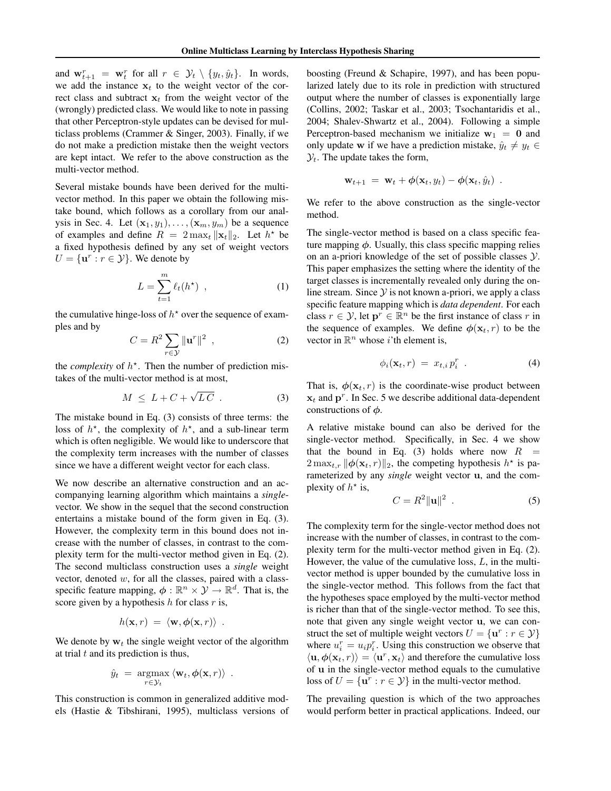and  $\mathbf{w}_{t+1}^r = \mathbf{w}_t^r$  for all  $r \in \mathcal{Y}_t \setminus \{y_t, \hat{y}_t\}$ . In words, we add the instance  $x_t$  to the weight vector of the correct class and subtract  $x_t$  from the weight vector of the (wrongly) predicted class. We would like to note in passing that other Perceptron-style updates can be devised for multiclass problems (Crammer & Singer, 2003). Finally, if we do not make a prediction mistake then the weight vectors are kept intact. We refer to the above construction as the multi-vector method.

Several mistake bounds have been derived for the multivector method. In this paper we obtain the following mistake bound, which follows as a corollary from our analysis in Sec. 4. Let  $(\mathbf{x}_1, y_1), \ldots, (\mathbf{x}_m, y_m)$  be a sequence of examples and define  $R = 2 \max_t ||\mathbf{x}_t||_2$ . Let  $h^*$  be a fixed hypothesis defined by any set of weight vectors  $U = {\mathbf{u}^r : r \in \mathcal{Y}}$ . We denote by

$$
L = \sum_{t=1}^{m} \ell_t(h^*) \quad , \tag{1}
$$

the cumulative hinge-loss of  $h^*$  over the sequence of examples and by

$$
C = R^2 \sum_{r \in \mathcal{Y}} ||\mathbf{u}^r||^2 \tag{2}
$$

the *complexity* of  $h^*$ . Then the number of prediction mistakes of the multi-vector method is at most,

$$
M \leq L + C + \sqrt{LC} \ . \tag{3}
$$

The mistake bound in Eq. (3) consists of three terms: the loss of  $h^*$ , the complexity of  $h^*$ , and a sub-linear term which is often negligible. We would like to underscore that the complexity term increases with the number of classes since we have a different weight vector for each class.

We now describe an alternative construction and an accompanying learning algorithm which maintains a *single*vector. We show in the sequel that the second construction entertains a mistake bound of the form given in Eq. (3). However, the complexity term in this bound does not increase with the number of classes, in contrast to the complexity term for the multi-vector method given in Eq. (2). The second multiclass construction uses a *single* weight vector, denoted  $w$ , for all the classes, paired with a classspecific feature mapping,  $\phi : \mathbb{R}^n \times \mathcal{Y} \to \mathbb{R}^d$ . That is, the score given by a hypothesis  $h$  for class  $r$  is,

$$
h(\mathbf{x},r) = \langle \mathbf{w}, \boldsymbol{\phi}(\mathbf{x},r) \rangle.
$$

We denote by  $w_t$  the single weight vector of the algorithm at trial  $t$  and its prediction is thus,

$$
\hat{y}_t = \underset{r \in \mathcal{Y}_t}{\text{argmax}} \langle \mathbf{w}_t, \phi(\mathbf{x}, r) \rangle \ .
$$

This construction is common in generalized additive models (Hastie & Tibshirani, 1995), multiclass versions of boosting (Freund & Schapire, 1997), and has been popularized lately due to its role in prediction with structured output where the number of classes is exponentially large (Collins, 2002; Taskar et al., 2003; Tsochantaridis et al., 2004; Shalev-Shwartz et al., 2004). Following a simple Perceptron-based mechanism we initialize  $w_1 = 0$  and only update w if we have a prediction mistake,  $\hat{y}_t \neq y_t \in$  $\mathcal{Y}_t$ . The update takes the form,

$$
\mathbf{w}_{t+1} = \mathbf{w}_t + \boldsymbol{\phi}(\mathbf{x}_t, y_t) - \boldsymbol{\phi}(\mathbf{x}_t, \hat{y}_t) .
$$

We refer to the above construction as the single-vector method.

The single-vector method is based on a class specific feature mapping  $\phi$ . Usually, this class specific mapping relies on an a-priori knowledge of the set of possible classes Y. This paper emphasizes the setting where the identity of the target classes is incrementally revealed only during the online stream. Since  $\mathcal Y$  is not known a-priori, we apply a class specific feature mapping which is *data dependent*. For each class  $r \in \mathcal{Y}$ , let  $\mathbf{p}^r \in \mathbb{R}^n$  be the first instance of class r in the sequence of examples. We define  $\phi(\mathbf{x}_t, r)$  to be the vector in  $\mathbb{R}^n$  whose *i*'th element is,

$$
\phi_i(\mathbf{x}_t, r) = x_{t,i} p_i^r \t\t(4)
$$

That is,  $\phi(\mathbf{x}_t, r)$  is the coordinate-wise product between  $\mathbf{x}_t$  and  $\mathbf{p}^r$ . In Sec. 5 we describe additional data-dependent constructions of  $\phi$ .

A relative mistake bound can also be derived for the single-vector method. Specifically, in Sec. 4 we show that the bound in Eq. (3) holds where now  $R =$  $2 \max_{t,r} ||\phi(\mathbf{x}_t, r)||_2$ , the competing hypothesis  $h^*$  is parameterized by any *single* weight vector u, and the complexity of  $h^*$  is,

$$
C = R^2 ||\mathbf{u}||^2 \tag{5}
$$

The complexity term for the single-vector method does not increase with the number of classes, in contrast to the complexity term for the multi-vector method given in Eq. (2). However, the value of the cumulative loss,  $L$ , in the multivector method is upper bounded by the cumulative loss in the single-vector method. This follows from the fact that the hypotheses space employed by the multi-vector method is richer than that of the single-vector method. To see this, note that given any single weight vector u, we can construct the set of multiple weight vectors  $U = {\mathbf{u}^r : r \in \mathcal{Y}}$ where  $u_i^r = u_i p_i^r$ . Using this construction we observe that  $\langle \mathbf{u}, \phi(\mathbf{x}_t, r) \rangle = \langle \mathbf{u}^r, \mathbf{x}_t \rangle$  and therefore the cumulative loss of u in the single-vector method equals to the cumulative loss of  $U = {\mathbf{u}^r : r \in \mathcal{Y}}$  in the multi-vector method.

The prevailing question is which of the two approaches would perform better in practical applications. Indeed, our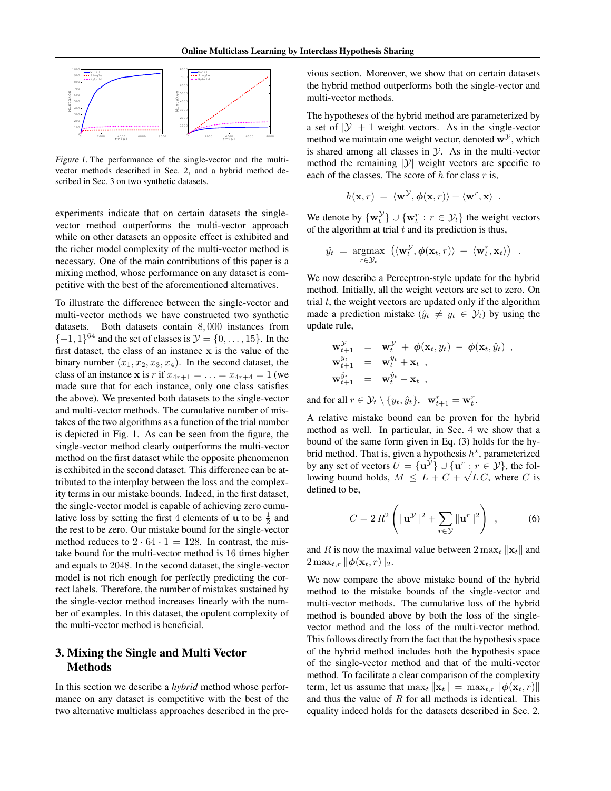

Figure 1. The performance of the single-vector and the multivector methods described in Sec. 2, and a hybrid method described in Sec. 3 on two synthetic datasets.

experiments indicate that on certain datasets the singlevector method outperforms the multi-vector approach while on other datasets an opposite effect is exhibited and the richer model complexity of the multi-vector method is necessary. One of the main contributions of this paper is a mixing method, whose performance on any dataset is competitive with the best of the aforementioned alternatives.

To illustrate the difference between the single-vector and multi-vector methods we have constructed two synthetic datasets. Both datasets contain 8, 000 instances from  ${-1, 1}^{64}$  and the set of classes is  $\mathcal{Y} = \{0, ..., 15\}$ . In the first dataset, the class of an instance x is the value of the binary number  $(x_1, x_2, x_3, x_4)$ . In the second dataset, the class of an instance x is r if  $x_{4r+1} = \ldots = x_{4r+4} = 1$  (we made sure that for each instance, only one class satisfies the above). We presented both datasets to the single-vector and multi-vector methods. The cumulative number of mistakes of the two algorithms as a function of the trial number is depicted in Fig. 1. As can be seen from the figure, the single-vector method clearly outperforms the multi-vector method on the first dataset while the opposite phenomenon is exhibited in the second dataset. This difference can be attributed to the interplay between the loss and the complexity terms in our mistake bounds. Indeed, in the first dataset, the single-vector model is capable of achieving zero cumulative loss by setting the first 4 elements of **u** to be  $\frac{1}{2}$  and the rest to be zero. Our mistake bound for the single-vector method reduces to  $2 \cdot 64 \cdot 1 = 128$ . In contrast, the mistake bound for the multi-vector method is 16 times higher and equals to 2048. In the second dataset, the single-vector model is not rich enough for perfectly predicting the correct labels. Therefore, the number of mistakes sustained by the single-vector method increases linearly with the number of examples. In this dataset, the opulent complexity of the multi-vector method is beneficial.

## 3. Mixing the Single and Multi Vector Methods

In this section we describe a *hybrid* method whose performance on any dataset is competitive with the best of the two alternative multiclass approaches described in the pre-

vious section. Moreover, we show that on certain datasets the hybrid method outperforms both the single-vector and multi-vector methods.

The hypotheses of the hybrid method are parameterized by a set of  $|y| + 1$  weight vectors. As in the single-vector method we maintain one weight vector, denoted  $w^y$ , which is shared among all classes in  $\mathcal Y$ . As in the multi-vector method the remaining  $|y|$  weight vectors are specific to each of the classes. The score of  $h$  for class  $r$  is,

$$
h(\mathbf{x},r) = \langle \mathbf{w}^{\mathcal{Y}}, \phi(\mathbf{x},r) \rangle + \langle \mathbf{w}^r, \mathbf{x} \rangle.
$$

We denote by  $\{w_t^{\mathcal{Y}}\} \cup \{w_t^r : r \in \mathcal{Y}_t\}$  the weight vectors of the algorithm at trial  $t$  and its prediction is thus,

$$
\hat{y}_t = \underset{r \in \mathcal{Y}_t}{\text{argmax}} \left( \langle \mathbf{w}_t^{\mathcal{Y}}, \phi(\mathbf{x}_t, r) \rangle + \langle \mathbf{w}_t^r, \mathbf{x}_t \rangle \right) .
$$

We now describe a Perceptron-style update for the hybrid method. Initially, all the weight vectors are set to zero. On trial  $t$ , the weight vectors are updated only if the algorithm made a prediction mistake ( $\hat{y}_t \neq y_t \in \mathcal{Y}_t$ ) by using the update rule,

$$
\mathbf{w}_{t+1}^{\mathcal{Y}} = \mathbf{w}_t^{\mathcal{Y}} + \phi(\mathbf{x}_t, y_t) - \phi(\mathbf{x}_t, \hat{y}_t) ,
$$
  
\n
$$
\mathbf{w}_{t+1}^{y_t} = \mathbf{w}_t^{y_t} + \mathbf{x}_t ,
$$
  
\n
$$
\mathbf{w}_{t+1}^{\hat{y}_t} = \mathbf{w}_t^{\hat{y}_t} - \mathbf{x}_t ,
$$

and for all  $r \in \mathcal{Y}_t \setminus \{y_t, \hat{y}_t\}, \mathbf{w}_{t+1}^r = \mathbf{w}_t^r.$ 

A relative mistake bound can be proven for the hybrid method as well. In particular, in Sec. 4 we show that a bound of the same form given in Eq. (3) holds for the hybrid method. That is, given a hypothesis  $h^*$ , parameterized by any set of vectors  $U = {\mathbf{u}^{\mathcal{Y}}} \cup {\mathbf{u}^{r}} : r \in \mathcal{Y}$ , the following bound holds,  $M \leq L + C + \sqrt{LC}$ , where C is defined to be,

$$
C = 2 R^{2} \left( \|\mathbf{u}^{\mathcal{Y}}\|^{2} + \sum_{r \in \mathcal{Y}} \|\mathbf{u}^{r}\|^{2} \right) , \qquad (6)
$$

and R is now the maximal value between  $2 \max_t ||\mathbf{x}_t||$  and  $2 \max_{t,r} ||\boldsymbol{\phi}(\mathbf{x}_t, r)||_2.$ 

We now compare the above mistake bound of the hybrid method to the mistake bounds of the single-vector and multi-vector methods. The cumulative loss of the hybrid method is bounded above by both the loss of the singlevector method and the loss of the multi-vector method. This follows directly from the fact that the hypothesis space of the hybrid method includes both the hypothesis space of the single-vector method and that of the multi-vector method. To facilitate a clear comparison of the complexity term, let us assume that  $\max_t ||\mathbf{x}_t|| = \max_{t,r} ||\boldsymbol{\phi}(\mathbf{x}_t, r)||$ and thus the value of  $R$  for all methods is identical. This equality indeed holds for the datasets described in Sec. 2.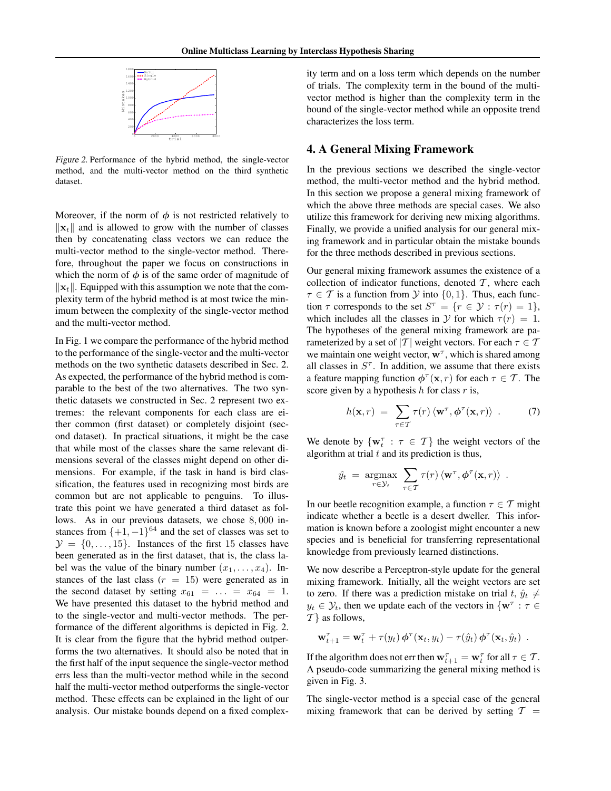

Figure 2. Performance of the hybrid method, the single-vector method, and the multi-vector method on the third synthetic dataset.

Moreover, if the norm of  $\phi$  is not restricted relatively to  $\|\mathbf{x}_t\|$  and is allowed to grow with the number of classes then by concatenating class vectors we can reduce the multi-vector method to the single-vector method. Therefore, throughout the paper we focus on constructions in which the norm of  $\phi$  is of the same order of magnitude of  $\Vert \mathbf{x}_t \Vert$ . Equipped with this assumption we note that the complexity term of the hybrid method is at most twice the minimum between the complexity of the single-vector method and the multi-vector method.

In Fig. 1 we compare the performance of the hybrid method to the performance of the single-vector and the multi-vector methods on the two synthetic datasets described in Sec. 2. As expected, the performance of the hybrid method is comparable to the best of the two alternatives. The two synthetic datasets we constructed in Sec. 2 represent two extremes: the relevant components for each class are either common (first dataset) or completely disjoint (second dataset). In practical situations, it might be the case that while most of the classes share the same relevant dimensions several of the classes might depend on other dimensions. For example, if the task in hand is bird classification, the features used in recognizing most birds are common but are not applicable to penguins. To illustrate this point we have generated a third dataset as follows. As in our previous datasets, we chose 8, 000 instances from  $\{+1, -1\}^{64}$  and the set of classes was set to  $\mathcal{Y} = \{0, \ldots, 15\}$ . Instances of the first 15 classes have been generated as in the first dataset, that is, the class label was the value of the binary number  $(x_1, \ldots, x_4)$ . Instances of the last class  $(r = 15)$  were generated as in the second dataset by setting  $x_{61} = \ldots = x_{64} = 1$ . We have presented this dataset to the hybrid method and to the single-vector and multi-vector methods. The performance of the different algorithms is depicted in Fig. 2. It is clear from the figure that the hybrid method outperforms the two alternatives. It should also be noted that in the first half of the input sequence the single-vector method errs less than the multi-vector method while in the second half the multi-vector method outperforms the single-vector method. These effects can be explained in the light of our analysis. Our mistake bounds depend on a fixed complexity term and on a loss term which depends on the number of trials. The complexity term in the bound of the multivector method is higher than the complexity term in the bound of the single-vector method while an opposite trend characterizes the loss term.

#### 4. A General Mixing Framework

In the previous sections we described the single-vector method, the multi-vector method and the hybrid method. In this section we propose a general mixing framework of which the above three methods are special cases. We also utilize this framework for deriving new mixing algorithms. Finally, we provide a unified analysis for our general mixing framework and in particular obtain the mistake bounds for the three methods described in previous sections.

Our general mixing framework assumes the existence of a collection of indicator functions, denoted  $T$ , where each  $\tau \in \mathcal{T}$  is a function from  $\mathcal{Y}$  into  $\{0, 1\}$ . Thus, each function  $\tau$  corresponds to the set  $S^{\tau} = \{r \in \mathcal{Y} : \tau(r) = 1\},\$ which includes all the classes in  $\mathcal Y$  for which  $\tau(r) = 1$ . The hypotheses of the general mixing framework are parameterized by a set of |T| weight vectors. For each  $\tau \in \mathcal{T}$ we maintain one weight vector,  $w^{\tau}$ , which is shared among all classes in  $S^{\tau}$ . In addition, we assume that there exists a feature mapping function  $\phi^{\tau}(\mathbf{x}, r)$  for each  $\tau \in \mathcal{T}$ . The score given by a hypothesis  $h$  for class  $r$  is,

$$
h(\mathbf{x},r) = \sum_{\tau \in \mathcal{T}} \tau(r) \langle \mathbf{w}^{\tau}, \phi^{\tau}(\mathbf{x},r) \rangle . \tag{7}
$$

We denote by  $\{w_t^\tau : \tau \in \mathcal{T}\}\$  the weight vectors of the algorithm at trial  $t$  and its prediction is thus,

$$
\hat{y}_t = \underset{r \in \mathcal{Y}_t}{\text{argmax}} \sum_{\tau \in \mathcal{T}} \tau(r) \langle \mathbf{w}^{\tau}, \boldsymbol{\phi}^{\tau}(\mathbf{x}, r) \rangle.
$$

In our beetle recognition example, a function  $\tau \in \mathcal{T}$  might indicate whether a beetle is a desert dweller. This information is known before a zoologist might encounter a new species and is beneficial for transferring representational knowledge from previously learned distinctions.

We now describe a Perceptron-style update for the general mixing framework. Initially, all the weight vectors are set to zero. If there was a prediction mistake on trial  $t, \hat{y}_t \neq$  $y_t \in \mathcal{Y}_t$ , then we update each of the vectors in  $\{ \mathbf{w}^\tau : \tau \in \mathcal{Y}_t \}$  $\mathcal{T}$  as follows,

$$
\mathbf{w}_{t+1}^{\tau} = \mathbf{w}_t^{\tau} + \tau(y_t) \, \boldsymbol{\phi}^{\tau}(\mathbf{x}_t, y_t) - \tau(\hat{y}_t) \, \boldsymbol{\phi}^{\tau}(\mathbf{x}_t, \hat{y}_t) \enspace .
$$

If the algorithm does not err then  $\mathbf{w}_{t+1}^{\tau} = \mathbf{w}_t^{\tau}$  for all  $\tau \in \mathcal{T}$ . A pseudo-code summarizing the general mixing method is given in Fig. 3.

The single-vector method is a special case of the general mixing framework that can be derived by setting  $T =$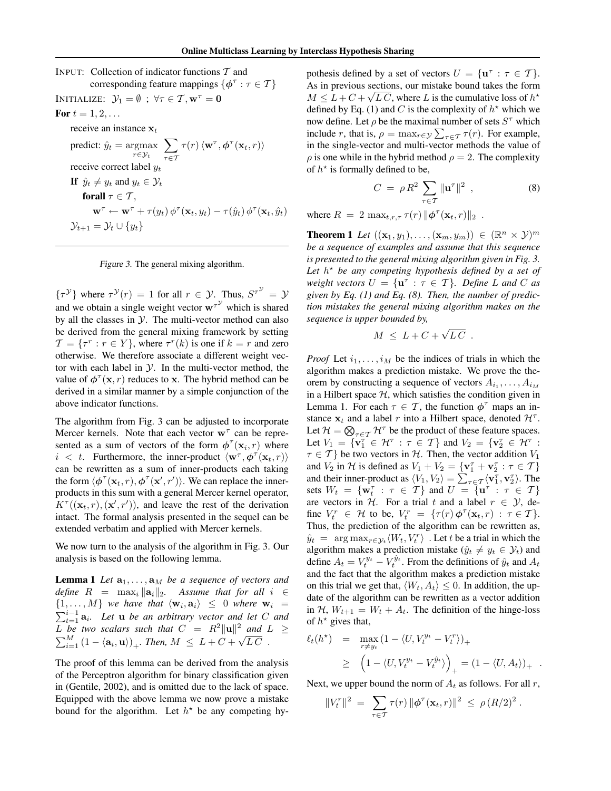- INPUT: Collection of indicator functions  $T$  and corresponding feature mappings  $\{\phi^{\tau} : \tau \in \mathcal{T}\}$
- INITIALIZE:  $\mathcal{Y}_1 = \emptyset$ ;  $\forall \tau \in \mathcal{T}, \mathbf{w}^{\tau} = \mathbf{0}$ For  $t = 1, 2, ...$ receive an instance  $x_t$ predict:  $\hat{y}_t = \operatorname*{argmax}_{r \in \mathcal{Y}_t}$  $\sum$  $\tau \in T$  $\tau(r) \langle \mathbf{w}^\tau, \boldsymbol{\phi}^\tau(\mathbf{x}_t, r) \rangle$ receive correct label  $y_t$ If  $\hat{y}_t \neq y_t$  and  $y_t \in \mathcal{Y}_t$ forall  $\tau \in \mathcal{T}$ ,  $\mathbf{w}^{\tau} \leftarrow \mathbf{w}^{\tau} + \tau(y_t) \phi^{\tau}(\mathbf{x}_t, y_t) - \tau(\hat{y}_t) \phi^{\tau}(\mathbf{x}_t, \hat{y}_t)$  $\mathcal{Y}_{t+1} = \mathcal{Y}_t \cup \{y_t\}$

Figure 3. The general mixing algorithm.

 $\{\tau^{\mathcal{Y}}\}\$  where  $\tau^{\mathcal{Y}}(r) = 1$  for all  $r \in \mathcal{Y}$ . Thus,  $S^{\tau^{\mathcal{Y}}} = \mathcal{Y}$ and we obtain a single weight vector  $w^{\tau^{\mathcal{Y}}}$  which is shared by all the classes in  $\mathcal Y$ . The multi-vector method can also be derived from the general mixing framework by setting  $\mathcal{T} = {\tau^r : r \in Y}$ , where  $\tau^r(k)$  is one if  $k = r$  and zero otherwise. We therefore associate a different weight vector with each label in  $Y$ . In the multi-vector method, the value of  $\phi^{\tau}(\mathbf{x}, r)$  reduces to x. The hybrid method can be derived in a similar manner by a simple conjunction of the above indicator functions.

The algorithm from Fig. 3 can be adjusted to incorporate Mercer kernels. Note that each vector  $w^{\tau}$  can be represented as a sum of vectors of the form  $\phi^{\tau}(\mathbf{x}_i, r)$  where  $i < t$ . Furthermore, the inner-product  $\langle \mathbf{w}^{\tau}, \phi^{\tau}(\mathbf{x}_t, r) \rangle$ can be rewritten as a sum of inner-products each taking the form  $\langle \phi^{\tau}(\mathbf{x}_t, r), \phi^{\tau}(\mathbf{x}', r') \rangle$ . We can replace the innerproducts in this sum with a general Mercer kernel operator,  $K^{\tau}((\mathbf{x}_t, r), (\mathbf{x}', r'))$ , and leave the rest of the derivation intact. The formal analysis presented in the sequel can be extended verbatim and applied with Mercer kernels.

We now turn to the analysis of the algorithm in Fig. 3. Our analysis is based on the following lemma.

**Lemma 1** Let  $a_1, \ldots, a_M$  be a sequence of vectors and *define*  $R = \max_i ||a_i||_2$ . Assume that for all  $i \in$  ${1, \ldots, M}$  *we have that*  $\langle \mathbf{w}_i, \mathbf{a}_i \rangle \leq 0$  *where*  $\mathbf{w}_i =$  $\{1, \ldots, M\}$  we have that  $\langle \mathbf{w}_i, \mathbf{a}_i \rangle \leq 0$  where  $\mathbf{w}_i = \sum_{t=1}^{i-1} \mathbf{a}_i$ . Let **u** be an arbitrary vector and let C and *L* be two scalars such that  $C = R^2 ||\mathbf{u}||^2$  and  $L \geq$  $\sum_{i=1}^{M} (1 - \langle \mathbf{a}_i, \mathbf{u} \rangle)_+$ *. Then,*  $M \leq L + C + \sqrt{T}C$ .

The proof of this lemma can be derived from the analysis of the Perceptron algorithm for binary classification given in (Gentile, 2002), and is omitted due to the lack of space. Equipped with the above lemma we now prove a mistake bound for the algorithm. Let  $h^*$  be any competing hy-

pothesis defined by a set of vectors  $U = {\mathbf{u}^\tau : \tau \in \mathcal{T}}$ . As in previous sections, our mistake bound takes the form  $M \leq L + C + \sqrt{LC}$ , where L is the cumulative loss of  $h^*$ defined by Eq. (1) and C is the complexity of  $h^*$  which we now define. Let  $\rho$  be the maximal number of sets  $S^{\tau}$  which include r, that is,  $\rho = \max_{r \in \mathcal{Y}} \sum_{\tau \in \mathcal{T}} \tau(r)$ . For example, in the single-vector and multi-vector methods the value of  $\rho$  is one while in the hybrid method  $\rho = 2$ . The complexity of  $h^*$  is formally defined to be,

$$
C = \rho R^2 \sum_{\tau \in \mathcal{T}} ||\mathbf{u}^\tau||^2 \tag{8}
$$

where  $R = 2 \max_{t,r,\tau} \tau(r) ||\boldsymbol{\phi}^{\tau}(\mathbf{x}_t, r)||_2$ .

**Theorem 1** Let  $((\mathbf{x}_1, y_1), \ldots, (\mathbf{x}_m, y_m)) \in (\mathbb{R}^n \times \mathcal{Y})^m$ *be a sequence of examples and assume that this sequence is presented to the general mixing algorithm given in Fig. 3. Let* h <sup>⋆</sup> *be any competing hypothesis defined by a set of weight vectors*  $U = {\mathbf{u}^\tau : \tau \in \mathcal{T}}$ *. Define L* and *C* as *given by Eq. (1) and Eq. (8). Then, the number of prediction mistakes the general mixing algorithm makes on the sequence is upper bounded by,*

$$
M \leq L + C + \sqrt{LC} \ .
$$

*Proof* Let  $i_1, \ldots, i_M$  be the indices of trials in which the algorithm makes a prediction mistake. We prove the theorem by constructing a sequence of vectors  $A_{i_1}, \ldots, A_{i_M}$ in a Hilbert space  $H$ , which satisfies the condition given in Lemma 1. For each  $\tau \in \mathcal{T}$ , the function  $\phi^{\tau}$  maps an instance  $\mathbf{x}_t$  and a label r into a Hilbert space, denoted  $\mathcal{H}^{\tau}$ . Let  $\mathcal{H} = \bigotimes_{\tau \in \mathcal{T}} \mathcal{H}^{\tau}$  be the product of these feature spaces. Let  $V_1 = \{ \mathbf{v}_1^{\tau} \in \mathcal{H}^{\tau} : \tau \in \mathcal{T} \}$  and  $V_2 = \{ \mathbf{v}_2^{\tau} \in \mathcal{H}^{\tau} : \tau \in \mathcal{T} \}$  $\tau \in \mathcal{T}$ } be two vectors in  $\mathcal{H}$ . Then, the vector addition  $V_1$ and  $V_2$  in  $H$  is defined as  $V_1 + V_2 = \{ \mathbf{v}_1^{\tau} + \mathbf{v}_2^{\tau} : \tau \in T \}$ and their inner-product as  $\langle V_1, V_2 \rangle = \sum_{\tau \in \mathcal{T}} \langle \mathbf{v}_1^{\tau}, \mathbf{v}_2^{\tau} \rangle$ . The sets  $W_t = \{ \mathbf{w}_t^\tau : \tau \in \mathcal{T} \}$  and  $U = \{ \mathbf{u}^\tau : \tau \in \mathcal{T} \}$ are vectors in H. For a trial t and a label  $r \in \mathcal{Y}$ , define  $V_t^r \in \mathcal{H}$  to be,  $V_t^r = {\tau(r) \phi^\tau(\mathbf{x}_t, r) : \tau \in \mathcal{T}}.$ Thus, the prediction of the algorithm can be rewritten as,  $\hat{y}_t = \arg \max_{r \in \mathcal{Y}_t} \langle W_t, V_t^r \rangle$ . Let t be a trial in which the algorithm makes a prediction mistake ( $\hat{y}_t \neq y_t \in \mathcal{Y}_t$ ) and define  $A_t = V_t^{y_t} - V_t^{\hat{y}_t}$ . From the definitions of  $\hat{y}_t$  and  $A_t$ and the fact that the algorithm makes a prediction mistake on this trial we get that,  $\langle W_t, A_t \rangle \leq 0$ . In addition, the update of the algorithm can be rewritten as a vector addition in H,  $W_{t+1} = W_t + A_t$ . The definition of the hinge-loss of  $h^*$  gives that,

$$
\ell_t(h^*) = \max_{r \neq y_t} (1 - \langle U, V_t^{y_t} - V_t^r \rangle)_+ \geq \left(1 - \langle U, V_t^{y_t} - V_t^{\hat{y}_t} \rangle \right)_+ = (1 - \langle U, A_t \rangle)_+.
$$

Next, we upper bound the norm of  $A_t$  as follows. For all r,

$$
||V_t^r||^2 = \sum_{\tau \in \mathcal{T}} \tau(r) ||\phi^\tau(\mathbf{x}_t, r)||^2 \leq \rho (R/2)^2.
$$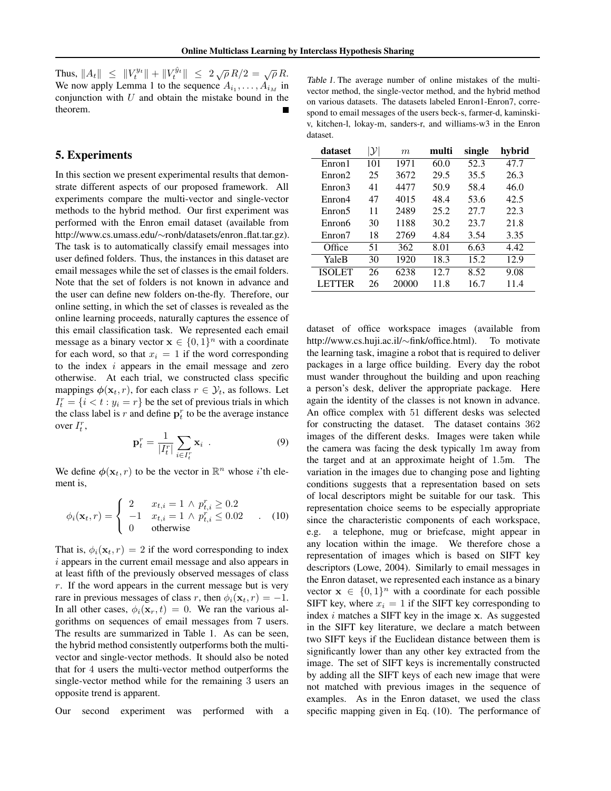Thus,  $||A_t|| \leq ||V_t^{y_t}|| + ||V_t^{\hat{y}_t}|| \leq 2\sqrt{\rho} R/2 = \sqrt{\rho} R.$ We now apply Lemma 1 to the sequence  $A_{i_1}, \ldots, A_{i_M}$  in conjunction with  $U$  and obtain the mistake bound in the theorem.

## 5. Experiments

In this section we present experimental results that demonstrate different aspects of our proposed framework. All experiments compare the multi-vector and single-vector methods to the hybrid method. Our first experiment was performed with the Enron email dataset (available from http://www.cs.umass.edu/∼ronb/datasets/enron flat.tar.gz). The task is to automatically classify email messages into user defined folders. Thus, the instances in this dataset are email messages while the set of classes is the email folders. Note that the set of folders is not known in advance and the user can define new folders on-the-fly. Therefore, our online setting, in which the set of classes is revealed as the online learning proceeds, naturally captures the essence of this email classification task. We represented each email message as a binary vector  $\mathbf{x} \in \{0, 1\}^n$  with a coordinate for each word, so that  $x_i = 1$  if the word corresponding to the index  $i$  appears in the email message and zero otherwise. At each trial, we constructed class specific mappings  $\phi(\mathbf{x}_t, r)$ , for each class  $r \in \mathcal{Y}_t$ , as follows. Let  $I_t^r = \{i < t : y_i = r\}$  be the set of previous trials in which the class label is r and define  $p_t^r$  to be the average instance over  $I_t^r$ ,

$$
\mathbf{p}_t^r = \frac{1}{|I_t^r|} \sum_{i \in I_t^r} \mathbf{x}_i \quad . \tag{9}
$$

We define  $\phi(\mathbf{x}_t, r)$  to be the vector in  $\mathbb{R}^n$  whose *i*'th element is,

$$
\phi_i(\mathbf{x}_t, r) = \begin{cases} 2 & x_{t,i} = 1 \land p_{t,i}^r \ge 0.2 \\ -1 & x_{t,i} = 1 \land p_{t,i}^r \le 0.02 \\ 0 & \text{otherwise} \end{cases} . \quad (10)
$$

That is,  $\phi_i(\mathbf{x}_t, r) = 2$  if the word corresponding to index i appears in the current email message and also appears in at least fifth of the previously observed messages of class  $r$ . If the word appears in the current message but is very rare in previous messages of class r, then  $\phi_i(\mathbf{x}_t, r) = -1$ . In all other cases,  $\phi_i(\mathbf{x}_r, t) = 0$ . We ran the various algorithms on sequences of email messages from 7 users. The results are summarized in Table 1. As can be seen, the hybrid method consistently outperforms both the multivector and single-vector methods. It should also be noted that for 4 users the multi-vector method outperforms the single-vector method while for the remaining 3 users an opposite trend is apparent.

Our second experiment was performed with a

Table 1. The average number of online mistakes of the multivector method, the single-vector method, and the hybrid method on various datasets. The datasets labeled Enron1-Enron7, correspond to email messages of the users beck-s, farmer-d, kaminskiv, kitchen-l, lokay-m, sanders-r, and williams-w3 in the Enron dataset.

| dataset            | $\mathcal{Y}$ | m     | multi | single | hvbrid |
|--------------------|---------------|-------|-------|--------|--------|
| Enron1             | 101           | 1971  | 60.0  | 52.3   | 47.7   |
| Enron <sub>2</sub> | 25            | 3672  | 29.5  | 35.5   | 26.3   |
| Enron3             | 41            | 4477  | 50.9  | 58.4   | 46.0   |
| Enron4             | 47            | 4015  | 48.4  | 53.6   | 42.5   |
| Enron5             | 11            | 2489  | 25.2  | 27.7   | 22.3   |
| Enron6             | 30            | 1188  | 30.2  | 23.7   | 21.8   |
| Enron7             | 18            | 2769  | 4.84  | 3.54   | 3.35   |
| Office             | 51            | 362   | 8.01  | 6.63   | 4.42   |
| YaleB              | 30            | 1920  | 18.3  | 15.2   | 12.9   |
| <b>ISOLET</b>      | 26            | 6238  | 12.7  | 8.52   | 9.08   |
| LETTER             | 26            | 20000 | 11.8  | 16.7   | 11.4   |

dataset of office workspace images (available from http://www.cs.huji.ac.il/∼fink/office.html). To motivate the learning task, imagine a robot that is required to deliver packages in a large office building. Every day the robot must wander throughout the building and upon reaching a person's desk, deliver the appropriate package. Here again the identity of the classes is not known in advance. An office complex with 51 different desks was selected for constructing the dataset. The dataset contains 362 images of the different desks. Images were taken while the camera was facing the desk typically 1m away from the target and at an approximate height of 1.5m. The variation in the images due to changing pose and lighting conditions suggests that a representation based on sets of local descriptors might be suitable for our task. This representation choice seems to be especially appropriate since the characteristic components of each workspace, e.g. a telephone, mug or briefcase, might appear in any location within the image. We therefore chose a representation of images which is based on SIFT key descriptors (Lowe, 2004). Similarly to email messages in the Enron dataset, we represented each instance as a binary vector  $\mathbf{x} \in \{0,1\}^n$  with a coordinate for each possible SIFT key, where  $x_i = 1$  if the SIFT key corresponding to index  $i$  matches a SIFT key in the image  $x$ . As suggested in the SIFT key literature, we declare a match between two SIFT keys if the Euclidean distance between them is significantly lower than any other key extracted from the image. The set of SIFT keys is incrementally constructed by adding all the SIFT keys of each new image that were not matched with previous images in the sequence of examples. As in the Enron dataset, we used the class specific mapping given in Eq. (10). The performance of